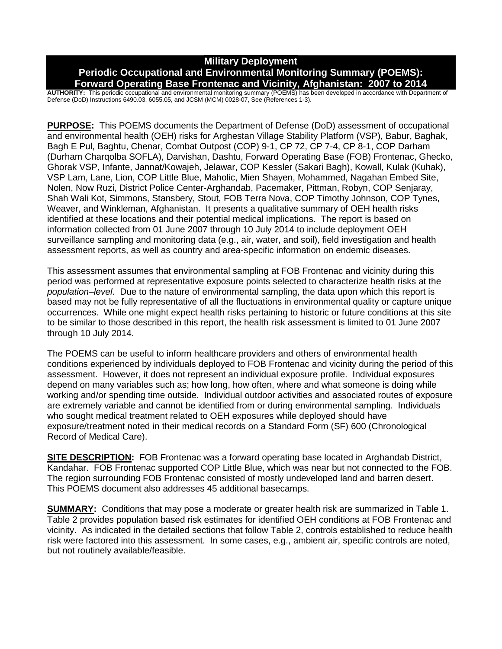## **Military Deployment Periodic Occupational and Environmental Monitoring Summary (POEMS): Forward Operating Base Frontenac and Vicinity, Afghanistan: 2007 to 2014**

**AUTHORITY:** This periodic occupational and environmental monitoring summary (POEMS) has been developed in accordance with Department of Defense (DoD) Instructions 6490.03, 6055.05, and JCSM (MCM) 0028-07, See (References 1-3).

**PURPOSE:** This POEMS documents the Department of Defense (DoD) assessment of occupational and environmental health (OEH) risks for Arghestan Village Stability Platform (VSP), Babur, Baghak, Bagh E Pul, Baghtu, Chenar, Combat Outpost (COP) 9-1, CP 72, CP 7-4, CP 8-1, COP Darham (Durham Charqolba SOFLA), Darvishan, Dashtu, Forward Operating Base (FOB) Frontenac, Ghecko, Ghorak VSP, Infante, Jannat/Kowajeh, Jelawar, COP Kessler (Sakari Bagh), Kowall, Kulak (Kuhak), VSP Lam, Lane, Lion, COP Little Blue, Maholic, Mien Shayen, Mohammed, Nagahan Embed Site, Nolen, Now Ruzi, District Police Center-Arghandab, Pacemaker, Pittman, Robyn, COP Senjaray, Shah Wali Kot, Simmons, Stansbery, Stout, FOB Terra Nova, COP Timothy Johnson, COP Tynes, Weaver, and Winkleman, Afghanistan. It presents a qualitative summary of OEH health risks identified at these locations and their potential medical implications. The report is based on information collected from 01 June 2007 through 10 July 2014 to include deployment OEH surveillance sampling and monitoring data (e.g., air, water, and soil), field investigation and health assessment reports, as well as country and area-specific information on endemic diseases.

This assessment assumes that environmental sampling at FOB Frontenac and vicinity during this period was performed at representative exposure points selected to characterize health risks at the *population–level*. Due to the nature of environmental sampling, the data upon which this report is based may not be fully representative of all the fluctuations in environmental quality or capture unique occurrences. While one might expect health risks pertaining to historic or future conditions at this site to be similar to those described in this report, the health risk assessment is limited to 01 June 2007 through 10 July 2014.

The POEMS can be useful to inform healthcare providers and others of environmental health conditions experienced by individuals deployed to FOB Frontenac and vicinity during the period of this assessment. However, it does not represent an individual exposure profile. Individual exposures depend on many variables such as; how long, how often, where and what someone is doing while working and/or spending time outside. Individual outdoor activities and associated routes of exposure are extremely variable and cannot be identified from or during environmental sampling. Individuals who sought medical treatment related to OEH exposures while deployed should have exposure/treatment noted in their medical records on a Standard Form (SF) 600 (Chronological Record of Medical Care).

**SITE DESCRIPTION:** FOB Frontenac was a forward operating base located in Arghandab District, Kandahar. FOB Frontenac supported COP Little Blue, which was near but not connected to the FOB. The region surrounding FOB Frontenac consisted of mostly undeveloped land and barren desert. This POEMS document also addresses 45 additional basecamps.

**SUMMARY:** Conditions that may pose a moderate or greater health risk are summarized in Table 1. Table 2 provides population based risk estimates for identified OEH conditions at FOB Frontenac and vicinity. As indicated in the detailed sections that follow Table 2, controls established to reduce health risk were factored into this assessment. In some cases, e.g., ambient air, specific controls are noted, but not routinely available/feasible.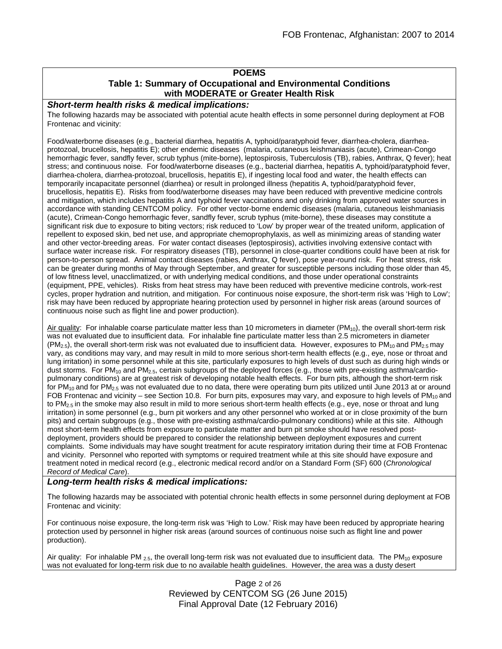## **POEMS**

## **Table 1: Summary of Occupational and Environmental Conditions with MODERATE or Greater Health Risk**

#### *Short-term health risks & medical implications:*

The following hazards may be associated with potential acute health effects in some personnel during deployment at FOB Frontenac and vicinity:

Food/waterborne diseases (e.g., bacterial diarrhea, hepatitis A, typhoid/paratyphoid fever, diarrhea-cholera, diarrheaprotozoal, brucellosis, hepatitis E); other endemic diseases (malaria, cutaneous leishmaniasis (acute), Crimean-Congo hemorrhagic fever, sandfly fever, scrub typhus (mite-borne), leptospirosis, Tuberculosis (TB), rabies, Anthrax, Q fever); heat stress; and continuous noise. For food/waterborne diseases (e.g., bacterial diarrhea, hepatitis A, typhoid/paratyphoid fever, diarrhea-cholera, diarrhea-protozoal, brucellosis, hepatitis E), if ingesting local food and water, the health effects can temporarily incapacitate personnel (diarrhea) or result in prolonged illness (hepatitis A, typhoid/paratyphoid fever, brucellosis, hepatitis E). Risks from food/waterborne diseases may have been reduced with preventive medicine controls and mitigation, which includes hepatitis A and typhoid fever vaccinations and only drinking from approved water sources in accordance with standing CENTCOM policy. For other vector-borne endemic diseases (malaria, cutaneous leishmaniasis (acute), Crimean-Congo hemorrhagic fever, sandfly fever, scrub typhus (mite-borne), these diseases may constitute a significant risk due to exposure to biting vectors; risk reduced to 'Low' by proper wear of the treated uniform, application of repellent to exposed skin, bed net use, and appropriate chemoprophylaxis, as well as minimizing areas of standing water and other vector-breeding areas. For water contact diseases (leptospirosis), activities involving extensive contact with surface water increase risk. For respiratory diseases (TB), personnel in close-quarter conditions could have been at risk for person-to-person spread. Animal contact diseases (rabies, Anthrax, Q fever), pose year-round risk. For heat stress, risk can be greater during months of May through September, and greater for susceptible persons including those older than 45, of low fitness level, unacclimatized, or with underlying medical conditions, and those under operational constraints (equipment, PPE, vehicles). Risks from heat stress may have been reduced with preventive medicine controls, work-rest cycles, proper hydration and nutrition, and mitigation. For continuous noise exposure, the short-term risk was 'High to Low'; risk may have been reduced by appropriate hearing protection used by personnel in higher risk areas (around sources of continuous noise such as flight line and power production).

Air quality: For inhalable coarse particulate matter less than 10 micrometers in diameter ( $PM_{10}$ ), the overall short-term risk was not evaluated due to insufficient data. For inhalable fine particulate matter less than 2.5 micrometers in diameter  $(PM_{2.5})$ , the overall short-term risk was not evaluated due to insufficient data. However, exposures to PM<sub>10</sub> and PM<sub>2.5</sub> may vary, as conditions may vary, and may result in mild to more serious short-term health effects (e.g., eye, nose or throat and lung irritation) in some personnel while at this site, particularly exposures to high levels of dust such as during high winds or dust storms. For PM<sub>10</sub> and PM<sub>2.5</sub>, certain subgroups of the deployed forces (e.g., those with pre-existing asthma/cardiopulmonary conditions) are at greatest risk of developing notable health effects. For burn pits, although the short-term risk for  $PM_{10}$  and for  $PM_{2.5}$  was not evaluated due to no data, there were operating burn pits utilized until June 2013 at or around FOB Frontenac and vicinity – see Section 10.8. For burn pits, exposures may vary, and exposure to high levels of  $PM_{10}$  and to  $PM_{2.5}$  in the smoke may also result in mild to more serious short-term health effects (e.g., eye, nose or throat and lung irritation) in some personnel (e.g., burn pit workers and any other personnel who worked at or in close proximity of the burn pits) and certain subgroups (e.g., those with pre-existing asthma/cardio-pulmonary conditions) while at this site. Although most short-term health effects from exposure to particulate matter and burn pit smoke should have resolved postdeployment, providers should be prepared to consider the relationship between deployment exposures and current complaints. Some individuals may have sought treatment for acute respiratory irritation during their time at FOB Frontenac and vicinity. Personnel who reported with symptoms or required treatment while at this site should have exposure and treatment noted in medical record (e.g., electronic medical record and/or on a Standard Form (SF) 600 (*Chronological Record of Medical Care*).

#### *Long-term health risks & medical implications:*

The following hazards may be associated with potential chronic health effects in some personnel during deployment at FOB Frontenac and vicinity:

For continuous noise exposure, the long-term risk was 'High to Low.' Risk may have been reduced by appropriate hearing protection used by personnel in higher risk areas (around sources of continuous noise such as flight line and power production).

Air quality: For inhalable PM  $_{2.5}$ , the overall long-term risk was not evaluated due to insufficient data. The PM<sub>10</sub> exposure was not evaluated for long-term risk due to no available health guidelines. However, the area was a dusty desert

## Page 2 of 26 Reviewed by CENTCOM SG (26 June 2015) Final Approval Date (12 February 2016)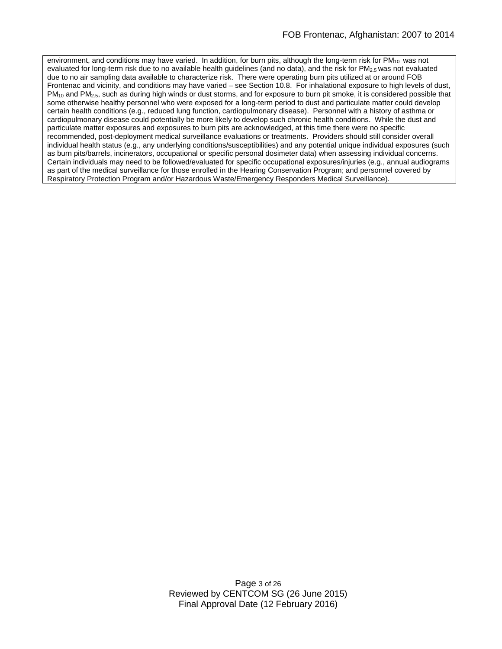environment, and conditions may have varied. In addition, for burn pits, although the long-term risk for  $PM_{10}$  was not evaluated for long-term risk due to no available health guidelines (and no data), and the risk for  $PM<sub>2.5</sub>$  was not evaluated due to no air sampling data available to characterize risk. There were operating burn pits utilized at or around FOB Frontenac and vicinity, and conditions may have varied – see Section 10.8. For inhalational exposure to high levels of dust, PM<sub>10</sub> and PM<sub>2.5</sub>, such as during high winds or dust storms, and for exposure to burn pit smoke, it is considered possible that some otherwise healthy personnel who were exposed for a long-term period to dust and particulate matter could develop certain health conditions (e.g., reduced lung function, cardiopulmonary disease). Personnel with a history of asthma or cardiopulmonary disease could potentially be more likely to develop such chronic health conditions. While the dust and particulate matter exposures and exposures to burn pits are acknowledged, at this time there were no specific recommended, post-deployment medical surveillance evaluations or treatments. Providers should still consider overall individual health status (e.g., any underlying conditions/susceptibilities) and any potential unique individual exposures (such as burn pits/barrels, incinerators, occupational or specific personal dosimeter data) when assessing individual concerns. Certain individuals may need to be followed/evaluated for specific occupational exposures/injuries (e.g., annual audiograms as part of the medical surveillance for those enrolled in the Hearing Conservation Program; and personnel covered by Respiratory Protection Program and/or Hazardous Waste/Emergency Responders Medical Surveillance).

> Page 3 of 26 Reviewed by CENTCOM SG (26 June 2015) Final Approval Date (12 February 2016)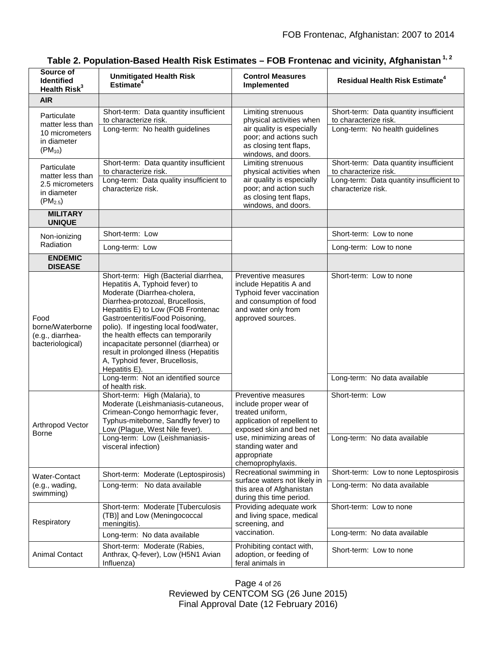| Source of<br><b>Identified</b><br>Health Risk <sup>3</sup>                        | <b>Unmitigated Health Risk</b><br>Estimate <sup>4</sup>                                                                                                                                                                                                                                                                                                                                                                                  | <b>Control Measures</b><br>Implemented                                                                                                                                                                             | <b>Residual Health Risk Estimate<sup>4</sup></b>                |
|-----------------------------------------------------------------------------------|------------------------------------------------------------------------------------------------------------------------------------------------------------------------------------------------------------------------------------------------------------------------------------------------------------------------------------------------------------------------------------------------------------------------------------------|--------------------------------------------------------------------------------------------------------------------------------------------------------------------------------------------------------------------|-----------------------------------------------------------------|
| <b>AIR</b>                                                                        |                                                                                                                                                                                                                                                                                                                                                                                                                                          |                                                                                                                                                                                                                    |                                                                 |
| Particulate<br>matter less than<br>10 micrometers<br>in diameter<br>$(PM_{10})$   | Short-term: Data quantity insufficient<br>to characterize risk.                                                                                                                                                                                                                                                                                                                                                                          | Limiting strenuous<br>physical activities when<br>air quality is especially<br>poor; and actions such<br>as closing tent flaps,<br>windows, and doors.                                                             | Short-term: Data quantity insufficient<br>to characterize risk. |
|                                                                                   | Long-term: No health guidelines                                                                                                                                                                                                                                                                                                                                                                                                          |                                                                                                                                                                                                                    | Long-term: No health guidelines                                 |
| Particulate<br>matter less than<br>2.5 micrometers<br>in diameter<br>$(PM_{2.5})$ | Short-term: Data quantity insufficient<br>to characterize risk.                                                                                                                                                                                                                                                                                                                                                                          | Limiting strenuous<br>physical activities when                                                                                                                                                                     | Short-term: Data quantity insufficient<br>to characterize risk. |
|                                                                                   | Long-term: Data quality insufficient to<br>characterize risk.                                                                                                                                                                                                                                                                                                                                                                            | air quality is especially<br>poor; and action such<br>as closing tent flaps,<br>windows, and doors.                                                                                                                | Long-term: Data quantity insufficient to<br>characterize risk.  |
| <b>MILITARY</b><br><b>UNIQUE</b>                                                  |                                                                                                                                                                                                                                                                                                                                                                                                                                          |                                                                                                                                                                                                                    |                                                                 |
| Non-ionizing<br>Radiation                                                         | Short-term: Low                                                                                                                                                                                                                                                                                                                                                                                                                          |                                                                                                                                                                                                                    | Short-term: Low to none                                         |
|                                                                                   | Long-term: Low                                                                                                                                                                                                                                                                                                                                                                                                                           |                                                                                                                                                                                                                    | Long-term: Low to none                                          |
| <b>ENDEMIC</b><br><b>DISEASE</b>                                                  |                                                                                                                                                                                                                                                                                                                                                                                                                                          |                                                                                                                                                                                                                    |                                                                 |
| Food<br>borne/Waterborne<br>(e.g., diarrhea-<br>bacteriological)                  | Short-term: High (Bacterial diarrhea,<br>Hepatitis A, Typhoid fever) to<br>Moderate (Diarrhea-cholera,<br>Diarrhea-protozoal, Brucellosis,<br>Hepatitis E) to Low (FOB Frontenac<br>Gastroenteritis/Food Poisoning,<br>polio). If ingesting local food/water,<br>the health effects can temporarily<br>incapacitate personnel (diarrhea) or<br>result in prolonged illness (Hepatitis<br>A, Typhoid fever, Brucellosis,<br>Hepatitis E). | Preventive measures<br>include Hepatitis A and<br>Typhoid fever vaccination<br>and consumption of food<br>and water only from<br>approved sources.                                                                 | Short-term: Low to none                                         |
|                                                                                   | Long-term: Not an identified source<br>of health risk.                                                                                                                                                                                                                                                                                                                                                                                   |                                                                                                                                                                                                                    | Long-term: No data available                                    |
| Arthropod Vector<br>Borne                                                         | Short-term: High (Malaria), to<br>Moderate (Leishmaniasis-cutaneous,<br>Crimean-Congo hemorrhagic fever,<br>Typhus-miteborne, Sandfly fever) to<br>Low (Plague, West Nile fever).                                                                                                                                                                                                                                                        | Preventive measures<br>include proper wear of<br>treated uniform,<br>application of repellent to<br>exposed skin and bed net<br>use, minimizing areas of<br>standing water and<br>appropriate<br>chemoprophylaxis. | Short-term: Low                                                 |
|                                                                                   | Long-term: Low (Leishmaniasis-<br>visceral infection)                                                                                                                                                                                                                                                                                                                                                                                    |                                                                                                                                                                                                                    | Long-term: No data available                                    |
| Water-Contact<br>(e.g., wading,<br>swimming)                                      | Short-term: Moderate (Leptospirosis)                                                                                                                                                                                                                                                                                                                                                                                                     | Recreational swimming in<br>surface waters not likely in<br>this area of Afghanistan<br>during this time period.                                                                                                   | Short-term: Low to none Leptospirosis                           |
|                                                                                   | Long-term: No data available                                                                                                                                                                                                                                                                                                                                                                                                             |                                                                                                                                                                                                                    | Long-term: No data available                                    |
| Respiratory                                                                       | Short-term: Moderate [Tuberculosis<br>(TB)] and Low (Meningococcal<br>meningitis).                                                                                                                                                                                                                                                                                                                                                       | Providing adequate work<br>and living space, medical<br>screening, and                                                                                                                                             | Short-term: Low to none                                         |
|                                                                                   | Long-term: No data available                                                                                                                                                                                                                                                                                                                                                                                                             | vaccination.                                                                                                                                                                                                       | Long-term: No data available                                    |
| <b>Animal Contact</b>                                                             | Short-term: Moderate (Rabies,<br>Anthrax, Q-fever), Low (H5N1 Avian<br>Influenza)                                                                                                                                                                                                                                                                                                                                                        | Prohibiting contact with,<br>adoption, or feeding of<br>feral animals in                                                                                                                                           | Short-term: Low to none                                         |

## **Table 2. Population-Based Health Risk Estimates – FOB Frontenac and vicinity, Afghanistan 1, 2**

Page 4 of 26 Reviewed by CENTCOM SG (26 June 2015) Final Approval Date (12 February 2016)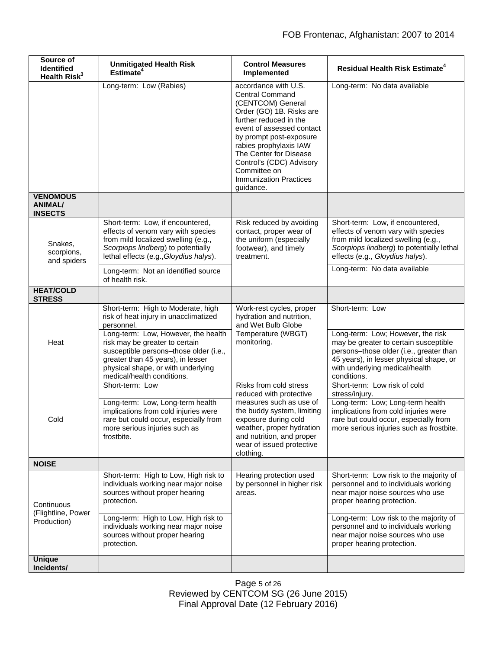| Source of<br><b>Identified</b><br>Health Risk <sup>3</sup> | <b>Unmitigated Health Risk</b><br>Estimate <sup>4</sup>                                                                                                                                                                                                                                                               | <b>Control Measures</b><br>Implemented                                                                                                                                                                                                                                                                                          | <b>Residual Health Risk Estimate<sup>4</sup></b>                                                                                                                                                                                                                                                      |
|------------------------------------------------------------|-----------------------------------------------------------------------------------------------------------------------------------------------------------------------------------------------------------------------------------------------------------------------------------------------------------------------|---------------------------------------------------------------------------------------------------------------------------------------------------------------------------------------------------------------------------------------------------------------------------------------------------------------------------------|-------------------------------------------------------------------------------------------------------------------------------------------------------------------------------------------------------------------------------------------------------------------------------------------------------|
|                                                            | Long-term: Low (Rabies)                                                                                                                                                                                                                                                                                               | accordance with U.S.<br><b>Central Command</b><br>(CENTCOM) General<br>Order (GO) 1B. Risks are<br>further reduced in the<br>event of assessed contact<br>by prompt post-exposure<br>rabies prophylaxis IAW<br>The Center for Disease<br>Control's (CDC) Advisory<br>Committee on<br><b>Immunization Practices</b><br>guidance. | Long-term: No data available                                                                                                                                                                                                                                                                          |
| <b>VENOMOUS</b><br><b>ANIMAL/</b><br><b>INSECTS</b>        |                                                                                                                                                                                                                                                                                                                       |                                                                                                                                                                                                                                                                                                                                 |                                                                                                                                                                                                                                                                                                       |
| Snakes.<br>scorpions,<br>and spiders                       | Short-term: Low, if encountered,<br>effects of venom vary with species<br>from mild localized swelling (e.g.,<br>Scorpiops lindberg) to potentially<br>lethal effects (e.g., Gloydius halys).                                                                                                                         | Risk reduced by avoiding<br>contact, proper wear of<br>the uniform (especially<br>footwear), and timely<br>treatment.                                                                                                                                                                                                           | Short-term: Low, if encountered,<br>effects of venom vary with species<br>from mild localized swelling (e.g.,<br>Scorpiops lindberg) to potentially lethal<br>effects (e.g., Gloydius halys).                                                                                                         |
|                                                            | Long-term: Not an identified source<br>of health risk.                                                                                                                                                                                                                                                                |                                                                                                                                                                                                                                                                                                                                 | Long-term: No data available                                                                                                                                                                                                                                                                          |
| <b>HEAT/COLD</b><br><b>STRESS</b>                          |                                                                                                                                                                                                                                                                                                                       |                                                                                                                                                                                                                                                                                                                                 |                                                                                                                                                                                                                                                                                                       |
| Heat                                                       | Short-term: High to Moderate, high<br>risk of heat injury in unacclimatized<br>personnel.<br>Long-term: Low, However, the health<br>risk may be greater to certain<br>susceptible persons-those older (i.e.,<br>greater than 45 years), in lesser<br>physical shape, or with underlying<br>medical/health conditions. | Work-rest cycles, proper<br>hydration and nutrition,<br>and Wet Bulb Globe<br>Temperature (WBGT)<br>monitoring.                                                                                                                                                                                                                 | Short-term: Low<br>Long-term: Low; However, the risk<br>may be greater to certain susceptible<br>persons-those older (i.e., greater than<br>45 years), in lesser physical shape, or<br>with underlying medical/health<br>conditions.                                                                  |
| Cold                                                       | Short-term: Low                                                                                                                                                                                                                                                                                                       | Risks from cold stress<br>reduced with protective<br>measures such as use of<br>the buddy system, limiting<br>exposure during cold<br>weather, proper hydration<br>and nutrition, and proper<br>wear of issued protective<br>clothing.                                                                                          | Short-term: Low risk of cold<br>stress/injury.                                                                                                                                                                                                                                                        |
|                                                            | Long-term: Low, Long-term health<br>implications from cold injuries were<br>rare but could occur, especially from<br>more serious injuries such as<br>frostbite.                                                                                                                                                      |                                                                                                                                                                                                                                                                                                                                 | Long-term: Low; Long-term health<br>implications from cold injuries were<br>rare but could occur, especially from<br>more serious injuries such as frostbite.                                                                                                                                         |
| <b>NOISE</b>                                               |                                                                                                                                                                                                                                                                                                                       |                                                                                                                                                                                                                                                                                                                                 |                                                                                                                                                                                                                                                                                                       |
| Continuous<br>(Flightline, Power<br>Production)            | Short-term: High to Low, High risk to<br>individuals working near major noise<br>sources without proper hearing<br>protection.<br>Long-term: High to Low, High risk to<br>individuals working near major noise<br>sources without proper hearing<br>protection.                                                       | Hearing protection used<br>by personnel in higher risk<br>areas.                                                                                                                                                                                                                                                                | Short-term: Low risk to the majority of<br>personnel and to individuals working<br>near major noise sources who use<br>proper hearing protection.<br>Long-term: Low risk to the majority of<br>personnel and to individuals working<br>near major noise sources who use<br>proper hearing protection. |
| <b>Unique</b><br>Incidents/                                |                                                                                                                                                                                                                                                                                                                       |                                                                                                                                                                                                                                                                                                                                 |                                                                                                                                                                                                                                                                                                       |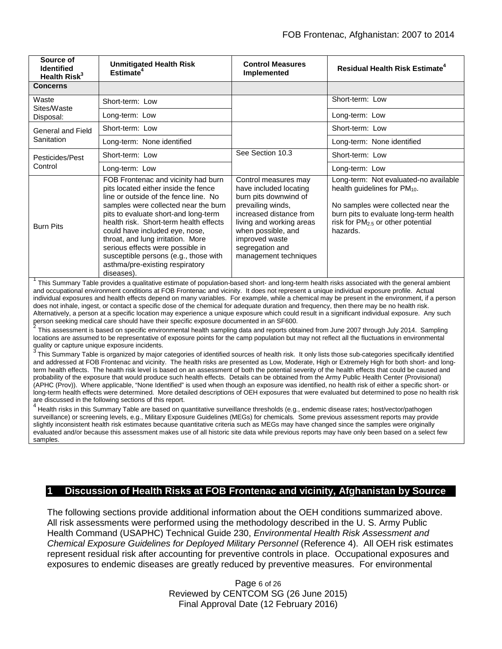| Source of<br><b>Identified</b><br>Health Risk <sup>3</sup> | <b>Unmitigated Health Risk</b><br>Estimate <sup>4</sup>                                                                                                                                                                                                                                                                                                                                                                                             | <b>Control Measures</b><br>Implemented                                                                                                                                                                                                  | Residual Health Risk Estimate <sup>4</sup>                                                                                                                                                                              |
|------------------------------------------------------------|-----------------------------------------------------------------------------------------------------------------------------------------------------------------------------------------------------------------------------------------------------------------------------------------------------------------------------------------------------------------------------------------------------------------------------------------------------|-----------------------------------------------------------------------------------------------------------------------------------------------------------------------------------------------------------------------------------------|-------------------------------------------------------------------------------------------------------------------------------------------------------------------------------------------------------------------------|
| <b>Concerns</b>                                            |                                                                                                                                                                                                                                                                                                                                                                                                                                                     |                                                                                                                                                                                                                                         |                                                                                                                                                                                                                         |
| Waste<br>Sites/Waste<br>Disposal:                          | Short-term: Low                                                                                                                                                                                                                                                                                                                                                                                                                                     |                                                                                                                                                                                                                                         | Short-term: Low                                                                                                                                                                                                         |
|                                                            | Long-term: Low                                                                                                                                                                                                                                                                                                                                                                                                                                      |                                                                                                                                                                                                                                         | Long-term: Low                                                                                                                                                                                                          |
| General and Field<br>Sanitation                            | Short-term: Low                                                                                                                                                                                                                                                                                                                                                                                                                                     |                                                                                                                                                                                                                                         | Short-term: Low                                                                                                                                                                                                         |
|                                                            | Long-term: None identified                                                                                                                                                                                                                                                                                                                                                                                                                          |                                                                                                                                                                                                                                         | Long-term: None identified                                                                                                                                                                                              |
| Pesticides/Pest<br>Control                                 | Short-term: Low                                                                                                                                                                                                                                                                                                                                                                                                                                     | See Section 10.3                                                                                                                                                                                                                        | Short-term: Low                                                                                                                                                                                                         |
|                                                            | Long-term: Low                                                                                                                                                                                                                                                                                                                                                                                                                                      |                                                                                                                                                                                                                                         | Long-term: Low                                                                                                                                                                                                          |
| <b>Burn Pits</b>                                           | FOB Frontenac and vicinity had burn<br>pits located either inside the fence<br>line or outside of the fence line. No<br>samples were collected near the burn<br>pits to evaluate short-and long-term<br>health risk. Short-term health effects<br>could have included eye, nose,<br>throat, and lung irritation. More<br>serious effects were possible in<br>susceptible persons (e.g., those with<br>asthma/pre-existing respiratory<br>diseases). | Control measures may<br>have included locating<br>burn pits downwind of<br>prevailing winds,<br>increased distance from<br>living and working areas<br>when possible, and<br>improved waste<br>segregation and<br>management techniques | Long-term: Not evaluated-no available<br>health guidelines for $PM_{10}$ .<br>No samples were collected near the<br>burn pits to evaluate long-term health<br>risk for PM <sub>2.5</sub> or other potential<br>hazards. |

<sup>1</sup> This Summary Table provides a qualitative estimate of population-based short- and long-term health risks associated with the general ambient and occupational environment conditions at FOB Frontenac and vicinity. It does not represent a unique individual exposure profile. Actual individual exposures and health effects depend on many variables. For example, while a chemical may be present in the environment, if a person does not inhale, ingest, or contact a specific dose of the chemical for adequate duration and frequency, then there may be no health risk. Alternatively, a person at a specific location may experience a unique exposure which could result in a significant individual exposure. Any such<br>person seeking medical care should have their specific exposure documented

This assessment is based on specific environmental health sampling data and reports obtained from June 2007 through July 2014. Sampling locations are assumed to be representative of exposure points for the camp population but may not reflect all the fluctuations in environmental quality or capture unique exposure incidents.

3 This Summary Table is organized by major categories of identified sources of health risk. It only lists those sub-categories specifically identified and addressed at FOB Frontenac and vicinity. The health risks are presented as Low, Moderate, High or Extremely High for both short- and longterm health effects. The health risk level is based on an assessment of both the potential severity of the health effects that could be caused and probability of the exposure that would produce such health effects. Details can be obtained from the Army Public Health Center (Provisional) (APHC (Prov)). Where applicable, "None Identified" is used when though an exposure was identified, no health risk of either a specific short- or long-term health effects were determined. More detailed descriptions of OEH exposures that were evaluated but determined to pose no health risk are discussed in the following sections of this report.

 $^4$  Health risks in this Summary Table are based on quantitative surveillance thresholds (e.g., endemic disease rates; host/vector/pathogen surveillance) or screening levels, e.g., Military Exposure Guidelines (MEGs) for chemicals*.* Some previous assessment reports may provide slightly inconsistent health risk estimates because quantitative criteria such as MEGs may have changed since the samples were originally evaluated and/or because this assessment makes use of all historic site data while previous reports may have only been based on a select few samples.

## **1 Discussion of Health Risks at FOB Frontenac and vicinity, Afghanistan by Source**

The following sections provide additional information about the OEH conditions summarized above. All risk assessments were performed using the methodology described in the U. S. Army Public Health Command (USAPHC) Technical Guide 230, *Environmental Health Risk Assessment and Chemical Exposure Guidelines for Deployed Military Personnel* (Reference 4). All OEH risk estimates represent residual risk after accounting for preventive controls in place. Occupational exposures and exposures to endemic diseases are greatly reduced by preventive measures. For environmental

> Page 6 of 26 Reviewed by CENTCOM SG (26 June 2015) Final Approval Date (12 February 2016)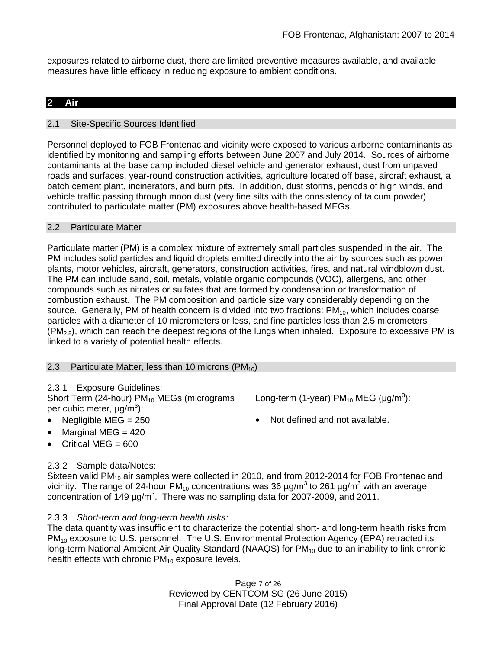exposures related to airborne dust, there are limited preventive measures available, and available measures have little efficacy in reducing exposure to ambient conditions.

## **2 Air**

## 2.1 Site-Specific Sources Identified

Personnel deployed to FOB Frontenac and vicinity were exposed to various airborne contaminants as identified by monitoring and sampling efforts between June 2007 and July 2014. Sources of airborne contaminants at the base camp included diesel vehicle and generator exhaust, dust from unpaved roads and surfaces, year-round construction activities, agriculture located off base, aircraft exhaust, a batch cement plant, incinerators, and burn pits. In addition, dust storms, periods of high winds, and vehicle traffic passing through moon dust (very fine silts with the consistency of talcum powder) contributed to particulate matter (PM) exposures above health-based MEGs.

## 2.2 Particulate Matter

Particulate matter (PM) is a complex mixture of extremely small particles suspended in the air. The PM includes solid particles and liquid droplets emitted directly into the air by sources such as power plants, motor vehicles, aircraft, generators, construction activities, fires, and natural windblown dust. The PM can include sand, soil, metals, volatile organic compounds (VOC), allergens, and other compounds such as nitrates or sulfates that are formed by condensation or transformation of combustion exhaust. The PM composition and particle size vary considerably depending on the source. Generally, PM of health concern is divided into two fractions:  $PM_{10}$ , which includes coarse particles with a diameter of 10 micrometers or less, and fine particles less than 2.5 micrometers  $(PM_{2.5})$ , which can reach the deepest regions of the lungs when inhaled. Exposure to excessive PM is linked to a variety of potential health effects.

## 2.3 Particulate Matter, less than 10 microns  $(PM_{10})$

## 2.3.1 Exposure Guidelines:

Short Term (24-hour)  $PM_{10}$  MEGs (micrograms per cubic meter, μg/m<sup>3</sup>):

- 
- Marginal MEG  $= 420$
- Critical MEG  $= 600$

## 2.3.2 Sample data/Notes:

Sixteen valid  $PM_{10}$  air samples were collected in 2010, and from 2012-2014 for FOB Frontenac and vicinity. The range of 24-hour PM<sub>10</sub> concentrations was 36  $\mu$ g/m<sup>3</sup> to 261  $\mu$ g/m<sup>3</sup> with an average concentration of  $149 \mu g/m^3$ . There was no sampling data for 2007-2009, and 2011.

## 2.3.3 *Short-term and long-term health risks:*

The data quantity was insufficient to characterize the potential short- and long-term health risks from PM<sub>10</sub> exposure to U.S. personnel. The U.S. Environmental Protection Agency (EPA) retracted its long-term National Ambient Air Quality Standard (NAAQS) for  $PM_{10}$  due to an inability to link chronic health effects with chronic  $PM_{10}$  exposure levels.

> Page 7 of 26 Reviewed by CENTCOM SG (26 June 2015) Final Approval Date (12 February 2016)

Long-term (1-year) PM<sub>10</sub> MEG (µg/m<sup>3</sup>):

• Negligible MEG = 250 • Not defined and not available.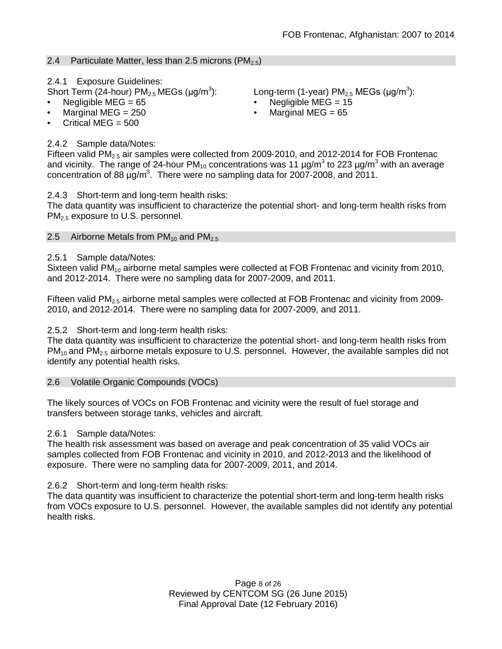## 2.4 Particulate Matter, less than 2.5 microns (PM<sub>2.5</sub>)

2.4.1 Exposure Guidelines:

- Short Term (24-hour)  $PM_{2.5}$  MEGs ( $\mu q/m^3$ ):
- Negligible MEG = 65 Negligible MEG = 15
- Marginal MEG = 250 Marginal MEG = 65
- Critical MEG  $= 500$

## 2.4.2 Sample data/Notes:

Fifteen valid  $PM_{2.5}$  air samples were collected from 2009-2010, and 2012-2014 for FOB Frontenac and vicinity. The range of 24-hour  $PM_{10}$  concentrations was 11  $\mu$ g/m<sup>3</sup> to 223  $\mu$ g/m<sup>3</sup> with an average concentration of 88  $\mu$ g/m<sup>3</sup>. There were no sampling data for 2007-2008, and 2011.

2.4.3 Short-term and long-term health risks:

The data quantity was insufficient to characterize the potential short- and long-term health risks from PM2.5 exposure to U.S. personnel.

## 2.5 Airborne Metals from  $PM_{10}$  and  $PM_{2.5}$

## 2.5.1 Sample data/Notes:

Sixteen valid  $PM_{10}$  airborne metal samples were collected at FOB Frontenac and vicinity from 2010, and 2012-2014. There were no sampling data for 2007-2009, and 2011.

Fifteen valid  $PM<sub>2.5</sub>$  airborne metal samples were collected at FOB Frontenac and vicinity from 2009-2010, and 2012-2014. There were no sampling data for 2007-2009, and 2011.

## 2.5.2 Short-term and long-term health risks:

The data quantity was insufficient to characterize the potential short- and long-term health risks from  $PM_{10}$  and  $PM_{2.5}$  airborne metals exposure to U.S. personnel. However, the available samples did not identify any potential health risks.

## 2.6 Volatile Organic Compounds (VOCs)

The likely sources of VOCs on FOB Frontenac and vicinity were the result of fuel storage and transfers between storage tanks, vehicles and aircraft.

## 2.6.1 Sample data/Notes:

The health risk assessment was based on average and peak concentration of 35 valid VOCs air samples collected from FOB Frontenac and vicinity in 2010, and 2012-2013 and the likelihood of exposure. There were no sampling data for 2007-2009, 2011, and 2014.

## 2.6.2 Short-term and long-term health risks:

The data quantity was insufficient to characterize the potential short-term and long-term health risks from VOCs exposure to U.S. personnel. However, the available samples did not identify any potential health risks.

> Page 8 of 26 Reviewed by CENTCOM SG (26 June 2015) Final Approval Date (12 February 2016)

): Long-term (1-year) PM<sub>2.5</sub> MEGs (µg/m<sup>3</sup>):

- 
-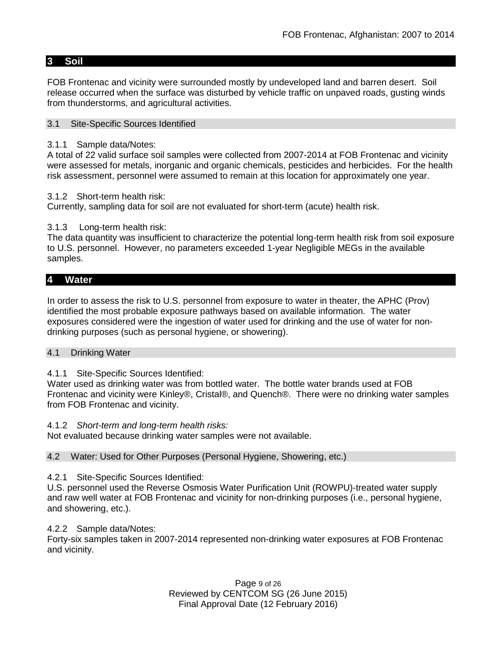## **3 Soil**

FOB Frontenac and vicinity were surrounded mostly by undeveloped land and barren desert. Soil release occurred when the surface was disturbed by vehicle traffic on unpaved roads, gusting winds from thunderstorms, and agricultural activities.

#### 3.1 Site-Specific Sources Identified

#### 3.1.1 Sample data/Notes:

A total of 22 valid surface soil samples were collected from 2007-2014 at FOB Frontenac and vicinity were assessed for metals, inorganic and organic chemicals, pesticides and herbicides. For the health risk assessment, personnel were assumed to remain at this location for approximately one year.

#### 3.1.2 Short-term health risk:

Currently, sampling data for soil are not evaluated for short-term (acute) health risk.

## 3.1.3 Long-term health risk:

The data quantity was insufficient to characterize the potential long-term health risk from soil exposure to U.S. personnel. However, no parameters exceeded 1-year Negligible MEGs in the available samples.

## **4 Water**

In order to assess the risk to U.S. personnel from exposure to water in theater, the APHC (Prov) identified the most probable exposure pathways based on available information. The water exposures considered were the ingestion of water used for drinking and the use of water for nondrinking purposes (such as personal hygiene, or showering).

#### 4.1 Drinking Water

## 4.1.1 Site-Specific Sources Identified:

Water used as drinking water was from bottled water. The bottle water brands used at FOB Frontenac and vicinity were Kinley®, Cristal®, and Quench®. There were no drinking water samples from FOB Frontenac and vicinity.

#### 4.1.2 *Short-term and long-term health risks:*

Not evaluated because drinking water samples were not available.

#### 4.2 Water: Used for Other Purposes (Personal Hygiene, Showering, etc.)

## 4.2.1 Site-Specific Sources Identified:

U.S. personnel used the Reverse Osmosis Water Purification Unit (ROWPU)-treated water supply and raw well water at FOB Frontenac and vicinity for non-drinking purposes (i.e., personal hygiene, and showering, etc.).

## 4.2.2 Sample data/Notes:

Forty-six samples taken in 2007-2014 represented non-drinking water exposures at FOB Frontenac and vicinity.

> Page 9 of 26 Reviewed by CENTCOM SG (26 June 2015) Final Approval Date (12 February 2016)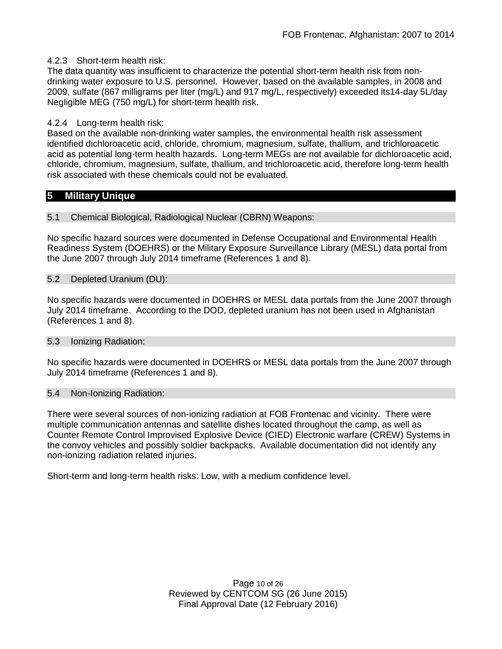## 4.2.3 Short-term health risk:

The data quantity was insufficient to characterize the potential short-term health risk from nondrinking water exposure to U.S. personnel. However, based on the available samples, in 2008 and 2009, sulfate (867 milligrams per liter (mg/L) and 917 mg/L, respectively) exceeded its14-day 5L/day Negligible MEG (750 mg/L) for short-term health risk.

#### 4.2.4 Long-term health risk:

Based on the available non-drinking water samples, the environmental health risk assessment identified dichloroacetic acid, chloride, chromium, magnesium, sulfate, thallium, and trichloroacetic acid as potential long-term health hazards. Long-term MEGs are not available for dichloroacetic acid, chloride, chromium, magnesium, sulfate, thallium, and trichloroacetic acid, therefore long-term health risk associated with these chemicals could not be evaluated.

## **5 Military Unique**

#### 5.1 Chemical Biological, Radiological Nuclear (CBRN) Weapons:

No specific hazard sources were documented in Defense Occupational and Environmental Health Readiness System (DOEHRS) or the Military Exposure Surveillance Library (MESL) data portal from the June 2007 through July 2014 timeframe (References 1 and 8).

#### 5.2 Depleted Uranium (DU):

No specific hazards were documented in DOEHRS or MESL data portals from the June 2007 through July 2014 timeframe. According to the DOD, depleted uranium has not been used in Afghanistan (References 1 and 8).

#### 5.3 Ionizing Radiation:

No specific hazards were documented in DOEHRS or MESL data portals from the June 2007 through July 2014 timeframe (References 1 and 8).

#### 5.4 Non-Ionizing Radiation:

There were several sources of non-ionizing radiation at FOB Frontenac and vicinity. There were multiple communication antennas and satellite dishes located throughout the camp, as well as Counter Remote Control Improvised Explosive Device (CIED) Electronic warfare (CREW) Systems in the convoy vehicles and possibly soldier backpacks. Available documentation did not identify any non-ionizing radiation related injuries.

Short-term and long-term health risks: Low, with a medium confidence level.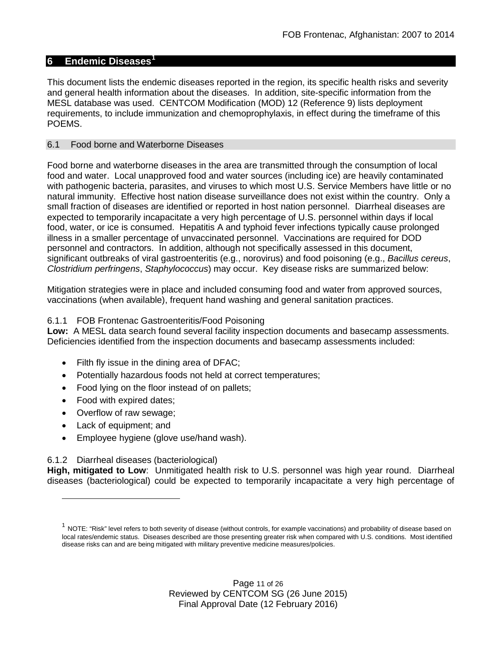## **6 Endemic Diseases[1](#page-10-0)**

This document lists the endemic diseases reported in the region, its specific health risks and severity and general health information about the diseases. In addition, site-specific information from the MESL database was used. CENTCOM Modification (MOD) 12 (Reference 9) lists deployment requirements, to include immunization and chemoprophylaxis, in effect during the timeframe of this POEMS.

#### 6.1 Food borne and Waterborne Diseases

Food borne and waterborne diseases in the area are transmitted through the consumption of local food and water. Local unapproved food and water sources (including ice) are heavily contaminated with pathogenic bacteria, parasites, and viruses to which most U.S. Service Members have little or no natural immunity. Effective host nation disease surveillance does not exist within the country. Only a small fraction of diseases are identified or reported in host nation personnel. Diarrheal diseases are expected to temporarily incapacitate a very high percentage of U.S. personnel within days if local food, water, or ice is consumed. Hepatitis A and typhoid fever infections typically cause prolonged illness in a smaller percentage of unvaccinated personnel. Vaccinations are required for DOD personnel and contractors. In addition, although not specifically assessed in this document, significant outbreaks of viral gastroenteritis (e.g., norovirus) and food poisoning (e.g., *Bacillus cereus*, *Clostridium perfringens*, *Staphylococcus*) may occur. Key disease risks are summarized below:

Mitigation strategies were in place and included consuming food and water from approved sources, vaccinations (when available), frequent hand washing and general sanitation practices.

#### 6.1.1 FOB Frontenac Gastroenteritis/Food Poisoning

**Low:** A MESL data search found several facility inspection documents and basecamp assessments. Deficiencies identified from the inspection documents and basecamp assessments included:

- Filth fly issue in the dining area of DFAC;
- Potentially hazardous foods not held at correct temperatures;
- Food lying on the floor instead of on pallets;
- Food with expired dates;
- Overflow of raw sewage;
- Lack of equipment; and

 $\overline{a}$ 

• Employee hygiene (glove use/hand wash).

## 6.1.2 Diarrheal diseases (bacteriological)

**High, mitigated to Low**: Unmitigated health risk to U.S. personnel was high year round. Diarrheal diseases (bacteriological) could be expected to temporarily incapacitate a very high percentage of

<span id="page-10-0"></span> $1$  NOTE: "Risk" level refers to both severity of disease (without controls, for example vaccinations) and probability of disease based on local rates/endemic status. Diseases described are those presenting greater risk when compared with U.S. conditions. Most identified disease risks can and are being mitigated with military preventive medicine measures/policies.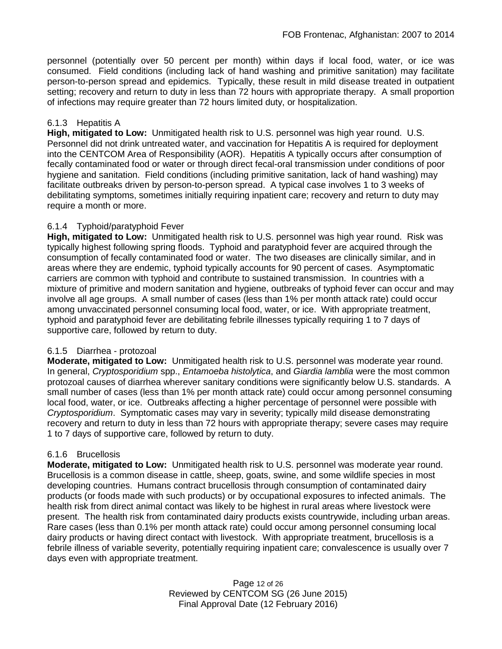personnel (potentially over 50 percent per month) within days if local food, water, or ice was consumed. Field conditions (including lack of hand washing and primitive sanitation) may facilitate person-to-person spread and epidemics. Typically, these result in mild disease treated in outpatient setting; recovery and return to duty in less than 72 hours with appropriate therapy. A small proportion of infections may require greater than 72 hours limited duty, or hospitalization.

## 6.1.3 Hepatitis A

**High, mitigated to Low:** Unmitigated health risk to U.S. personnel was high year round. U.S. Personnel did not drink untreated water, and vaccination for Hepatitis A is required for deployment into the CENTCOM Area of Responsibility (AOR). Hepatitis A typically occurs after consumption of fecally contaminated food or water or through direct fecal-oral transmission under conditions of poor hygiene and sanitation. Field conditions (including primitive sanitation, lack of hand washing) may facilitate outbreaks driven by person-to-person spread. A typical case involves 1 to 3 weeks of debilitating symptoms, sometimes initially requiring inpatient care; recovery and return to duty may require a month or more.

## 6.1.4 Typhoid/paratyphoid Fever

**High, mitigated to Low:** Unmitigated health risk to U.S. personnel was high year round. Risk was typically highest following spring floods. Typhoid and paratyphoid fever are acquired through the consumption of fecally contaminated food or water. The two diseases are clinically similar, and in areas where they are endemic, typhoid typically accounts for 90 percent of cases. Asymptomatic carriers are common with typhoid and contribute to sustained transmission. In countries with a mixture of primitive and modern sanitation and hygiene, outbreaks of typhoid fever can occur and may involve all age groups. A small number of cases (less than 1% per month attack rate) could occur among unvaccinated personnel consuming local food, water, or ice. With appropriate treatment, typhoid and paratyphoid fever are debilitating febrile illnesses typically requiring 1 to 7 days of supportive care, followed by return to duty.

## 6.1.5 Diarrhea - protozoal

**Moderate, mitigated to Low:** Unmitigated health risk to U.S. personnel was moderate year round. In general, *Cryptosporidium* spp., *Entamoeba histolytica*, and *Giardia lamblia* were the most common protozoal causes of diarrhea wherever sanitary conditions were significantly below U.S. standards. A small number of cases (less than 1% per month attack rate) could occur among personnel consuming local food, water, or ice. Outbreaks affecting a higher percentage of personnel were possible with *Cryptosporidium*. Symptomatic cases may vary in severity; typically mild disease demonstrating recovery and return to duty in less than 72 hours with appropriate therapy; severe cases may require 1 to 7 days of supportive care, followed by return to duty.

## 6.1.6 Brucellosis

**Moderate, mitigated to Low:** Unmitigated health risk to U.S. personnel was moderate year round. Brucellosis is a common disease in cattle, sheep, goats, swine, and some wildlife species in most developing countries. Humans contract brucellosis through consumption of contaminated dairy products (or foods made with such products) or by occupational exposures to infected animals. The health risk from direct animal contact was likely to be highest in rural areas where livestock were present. The health risk from contaminated dairy products exists countrywide, including urban areas. Rare cases (less than 0.1% per month attack rate) could occur among personnel consuming local dairy products or having direct contact with livestock. With appropriate treatment, brucellosis is a febrile illness of variable severity, potentially requiring inpatient care; convalescence is usually over 7 days even with appropriate treatment.

> Page 12 of 26 Reviewed by CENTCOM SG (26 June 2015) Final Approval Date (12 February 2016)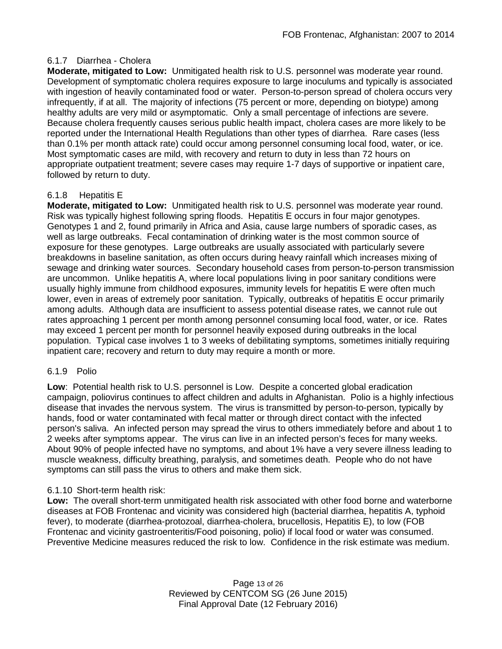## 6.1.7 Diarrhea - Cholera

**Moderate, mitigated to Low:** Unmitigated health risk to U.S. personnel was moderate year round. Development of symptomatic cholera requires exposure to large inoculums and typically is associated with ingestion of heavily contaminated food or water. Person-to-person spread of cholera occurs very infrequently, if at all. The majority of infections (75 percent or more, depending on biotype) among healthy adults are very mild or asymptomatic. Only a small percentage of infections are severe. Because cholera frequently causes serious public health impact, cholera cases are more likely to be reported under the International Health Regulations than other types of diarrhea. Rare cases (less than 0.1% per month attack rate) could occur among personnel consuming local food, water, or ice. Most symptomatic cases are mild, with recovery and return to duty in less than 72 hours on appropriate outpatient treatment; severe cases may require 1-7 days of supportive or inpatient care, followed by return to duty.

## 6.1.8 Hepatitis E

**Moderate, mitigated to Low:** Unmitigated health risk to U.S. personnel was moderate year round. Risk was typically highest following spring floods. Hepatitis E occurs in four major genotypes. Genotypes 1 and 2, found primarily in Africa and Asia, cause large numbers of sporadic cases, as well as large outbreaks. Fecal contamination of drinking water is the most common source of exposure for these genotypes. Large outbreaks are usually associated with particularly severe breakdowns in baseline sanitation, as often occurs during heavy rainfall which increases mixing of sewage and drinking water sources. Secondary household cases from person-to-person transmission are uncommon. Unlike hepatitis A, where local populations living in poor sanitary conditions were usually highly immune from childhood exposures, immunity levels for hepatitis E were often much lower, even in areas of extremely poor sanitation. Typically, outbreaks of hepatitis E occur primarily among adults. Although data are insufficient to assess potential disease rates, we cannot rule out rates approaching 1 percent per month among personnel consuming local food, water, or ice. Rates may exceed 1 percent per month for personnel heavily exposed during outbreaks in the local population. Typical case involves 1 to 3 weeks of debilitating symptoms, sometimes initially requiring inpatient care; recovery and return to duty may require a month or more.

## 6.1.9 Polio

**Low**: Potential health risk to U.S. personnel is Low. Despite a concerted global eradication campaign, poliovirus continues to affect children and adults in Afghanistan. Polio is a highly infectious disease that invades the nervous system. The virus is transmitted by person-to-person, typically by hands, food or water contaminated with fecal matter or through direct contact with the infected person's saliva. An infected person may spread the virus to others immediately before and about 1 to 2 weeks after symptoms appear. The virus can live in an infected person's feces for many weeks. About 90% of people infected have no symptoms, and about 1% have a very severe illness leading to muscle weakness, difficulty breathing, paralysis, and sometimes death. People who do not have symptoms can still pass the virus to others and make them sick.

## 6.1.10 Short-term health risk:

**Low:** The overall short-term unmitigated health risk associated with other food borne and waterborne diseases at FOB Frontenac and vicinity was considered high (bacterial diarrhea, hepatitis A, typhoid fever), to moderate (diarrhea-protozoal, diarrhea-cholera, brucellosis, Hepatitis E), to low (FOB Frontenac and vicinity gastroenteritis/Food poisoning, polio) if local food or water was consumed. Preventive Medicine measures reduced the risk to low. Confidence in the risk estimate was medium.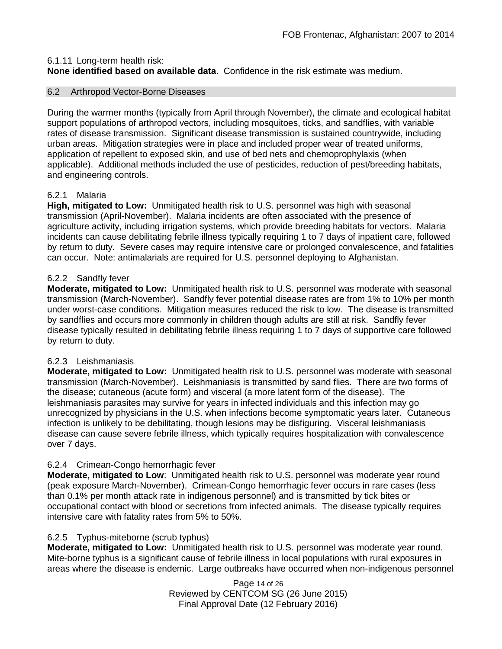## 6.1.11 Long-term health risk:

**None identified based on available data**.Confidence in the risk estimate was medium.

## 6.2 Arthropod Vector-Borne Diseases

During the warmer months (typically from April through November), the climate and ecological habitat support populations of arthropod vectors, including mosquitoes, ticks, and sandflies, with variable rates of disease transmission. Significant disease transmission is sustained countrywide, including urban areas. Mitigation strategies were in place and included proper wear of treated uniforms, application of repellent to exposed skin, and use of bed nets and chemoprophylaxis (when applicable). Additional methods included the use of pesticides, reduction of pest/breeding habitats, and engineering controls.

## 6.2.1 Malaria

**High, mitigated to Low:** Unmitigated health risk to U.S. personnel was high with seasonal transmission (April-November). Malaria incidents are often associated with the presence of agriculture activity, including irrigation systems, which provide breeding habitats for vectors. Malaria incidents can cause debilitating febrile illness typically requiring 1 to 7 days of inpatient care, followed by return to duty. Severe cases may require intensive care or prolonged convalescence, and fatalities can occur. Note: antimalarials are required for U.S. personnel deploying to Afghanistan.

## 6.2.2 Sandfly fever

**Moderate, mitigated to Low:** Unmitigated health risk to U.S. personnel was moderate with seasonal transmission (March-November). Sandfly fever potential disease rates are from 1% to 10% per month under worst-case conditions. Mitigation measures reduced the risk to low. The disease is transmitted by sandflies and occurs more commonly in children though adults are still at risk. Sandfly fever disease typically resulted in debilitating febrile illness requiring 1 to 7 days of supportive care followed by return to duty.

## 6.2.3 Leishmaniasis

**Moderate, mitigated to Low:** Unmitigated health risk to U.S. personnel was moderate with seasonal transmission (March-November). Leishmaniasis is transmitted by sand flies. There are two forms of the disease; cutaneous (acute form) and visceral (a more latent form of the disease). The leishmaniasis parasites may survive for years in infected individuals and this infection may go unrecognized by physicians in the U.S. when infections become symptomatic years later. Cutaneous infection is unlikely to be debilitating, though lesions may be disfiguring. Visceral leishmaniasis disease can cause severe febrile illness, which typically requires hospitalization with convalescence over 7 days.

## 6.2.4 Crimean-Congo hemorrhagic fever

**Moderate, mitigated to Low**: Unmitigated health risk to U.S. personnel was moderate year round (peak exposure March-November). Crimean-Congo hemorrhagic fever occurs in rare cases (less than 0.1% per month attack rate in indigenous personnel) and is transmitted by tick bites or occupational contact with blood or secretions from infected animals. The disease typically requires intensive care with fatality rates from 5% to 50%.

## 6.2.5 Typhus-miteborne (scrub typhus)

**Moderate, mitigated to Low:** Unmitigated health risk to U.S. personnel was moderate year round. Mite-borne typhus is a significant cause of febrile illness in local populations with rural exposures in areas where the disease is endemic. Large outbreaks have occurred when non-indigenous personnel

> Page 14 of 26 Reviewed by CENTCOM SG (26 June 2015) Final Approval Date (12 February 2016)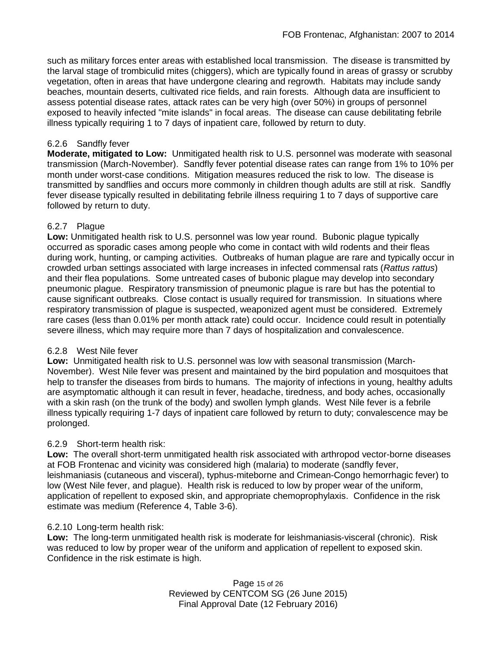such as military forces enter areas with established local transmission. The disease is transmitted by the larval stage of trombiculid mites (chiggers), which are typically found in areas of grassy or scrubby vegetation, often in areas that have undergone clearing and regrowth. Habitats may include sandy beaches, mountain deserts, cultivated rice fields, and rain forests. Although data are insufficient to assess potential disease rates, attack rates can be very high (over 50%) in groups of personnel exposed to heavily infected "mite islands" in focal areas. The disease can cause debilitating febrile illness typically requiring 1 to 7 days of inpatient care, followed by return to duty.

## 6.2.6 Sandfly fever

**Moderate, mitigated to Low:** Unmitigated health risk to U.S. personnel was moderate with seasonal transmission (March-November). Sandfly fever potential disease rates can range from 1% to 10% per month under worst-case conditions. Mitigation measures reduced the risk to low. The disease is transmitted by sandflies and occurs more commonly in children though adults are still at risk. Sandfly fever disease typically resulted in debilitating febrile illness requiring 1 to 7 days of supportive care followed by return to duty.

## 6.2.7 Plague

**Low:** Unmitigated health risk to U.S. personnel was low year round. Bubonic plague typically occurred as sporadic cases among people who come in contact with wild rodents and their fleas during work, hunting, or camping activities. Outbreaks of human plague are rare and typically occur in crowded urban settings associated with large increases in infected commensal rats (*Rattus rattus*) and their flea populations. Some untreated cases of bubonic plague may develop into secondary pneumonic plague. Respiratory transmission of pneumonic plague is rare but has the potential to cause significant outbreaks. Close contact is usually required for transmission. In situations where respiratory transmission of plague is suspected, weaponized agent must be considered. Extremely rare cases (less than 0.01% per month attack rate) could occur. Incidence could result in potentially severe illness, which may require more than 7 days of hospitalization and convalescence.

## 6.2.8 West Nile fever

**Low:** Unmitigated health risk to U.S. personnel was low with seasonal transmission (March-November). West Nile fever was present and maintained by the bird population and mosquitoes that help to transfer the diseases from birds to humans. The majority of infections in young, healthy adults are asymptomatic although it can result in fever, headache, tiredness, and body aches, occasionally with a skin rash (on the trunk of the body) and swollen lymph glands. West Nile fever is a febrile illness typically requiring 1-7 days of inpatient care followed by return to duty; convalescence may be prolonged.

## 6.2.9 Short-term health risk:

**Low:** The overall short-term unmitigated health risk associated with arthropod vector-borne diseases at FOB Frontenac and vicinity was considered high (malaria) to moderate (sandfly fever, leishmaniasis (cutaneous and visceral), typhus-miteborne and Crimean-Congo hemorrhagic fever) to low (West Nile fever, and plague). Health risk is reduced to low by proper wear of the uniform, application of repellent to exposed skin, and appropriate chemoprophylaxis. Confidence in the risk estimate was medium (Reference 4, Table 3-6).

## 6.2.10 Long-term health risk:

**Low:** The long-term unmitigated health risk is moderate for leishmaniasis-visceral (chronic). Risk was reduced to low by proper wear of the uniform and application of repellent to exposed skin. Confidence in the risk estimate is high.

> Page 15 of 26 Reviewed by CENTCOM SG (26 June 2015) Final Approval Date (12 February 2016)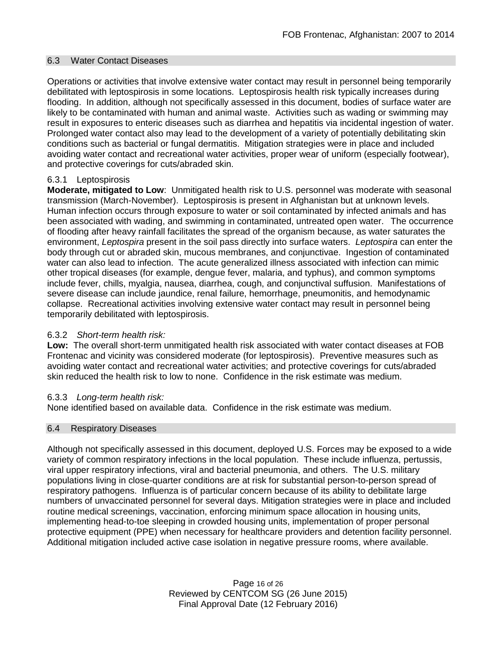#### 6.3 Water Contact Diseases

Operations or activities that involve extensive water contact may result in personnel being temporarily debilitated with leptospirosis in some locations. Leptospirosis health risk typically increases during flooding. In addition, although not specifically assessed in this document, bodies of surface water are likely to be contaminated with human and animal waste. Activities such as wading or swimming may result in exposures to enteric diseases such as diarrhea and hepatitis via incidental ingestion of water. Prolonged water contact also may lead to the development of a variety of potentially debilitating skin conditions such as bacterial or fungal dermatitis. Mitigation strategies were in place and included avoiding water contact and recreational water activities, proper wear of uniform (especially footwear), and protective coverings for cuts/abraded skin.

## 6.3.1 Leptospirosis

**Moderate, mitigated to Low**: Unmitigated health risk to U.S. personnel was moderate with seasonal transmission (March-November). Leptospirosis is present in Afghanistan but at unknown levels. Human infection occurs through exposure to water or soil contaminated by infected animals and has been associated with wading, and swimming in contaminated, untreated open water.The occurrence of flooding after heavy rainfall facilitates the spread of the organism because, as water saturates the environment, *Leptospira* present in the soil pass directly into surface waters. *Leptospira* can enter the body through cut or abraded skin, mucous membranes, and conjunctivae. Ingestion of contaminated water can also lead to infection. The acute generalized illness associated with infection can mimic other tropical diseases (for example, dengue fever, malaria, and typhus), and common symptoms include fever, chills, myalgia, nausea, diarrhea, cough, and conjunctival suffusion. Manifestations of severe disease can include jaundice, renal failure, hemorrhage, pneumonitis, and hemodynamic collapse. Recreational activities involving extensive water contact may result in personnel being temporarily debilitated with leptospirosis.

## 6.3.2 *Short-term health risk:*

**Low:** The overall short-term unmitigated health risk associated with water contact diseases at FOB Frontenac and vicinity was considered moderate (for leptospirosis). Preventive measures such as avoiding water contact and recreational water activities; and protective coverings for cuts/abraded skin reduced the health risk to low to none. Confidence in the risk estimate was medium.

## 6.3.3 *Long-term health risk:*

None identified based on available data. Confidence in the risk estimate was medium.

## 6.4 Respiratory Diseases

Although not specifically assessed in this document, deployed U.S. Forces may be exposed to a wide variety of common respiratory infections in the local population. These include influenza, pertussis, viral upper respiratory infections, viral and bacterial pneumonia, and others. The U.S. military populations living in close-quarter conditions are at risk for substantial person-to-person spread of respiratory pathogens. Influenza is of particular concern because of its ability to debilitate large numbers of unvaccinated personnel for several days. Mitigation strategies were in place and included routine medical screenings, vaccination, enforcing minimum space allocation in housing units, implementing head-to-toe sleeping in crowded housing units, implementation of proper personal protective equipment (PPE) when necessary for healthcare providers and detention facility personnel. Additional mitigation included active case isolation in negative pressure rooms, where available.

> Page 16 of 26 Reviewed by CENTCOM SG (26 June 2015) Final Approval Date (12 February 2016)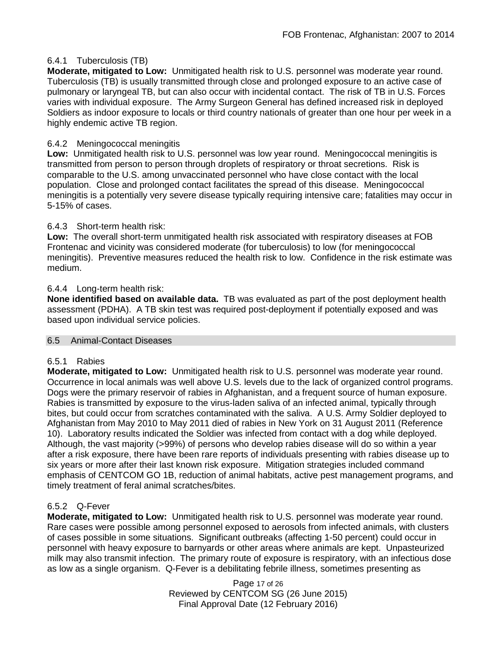## 6.4.1 Tuberculosis (TB)

**Moderate, mitigated to Low:** Unmitigated health risk to U.S. personnel was moderate year round. Tuberculosis (TB) is usually transmitted through close and prolonged exposure to an active case of pulmonary or laryngeal TB, but can also occur with incidental contact. The risk of TB in U.S. Forces varies with individual exposure. The Army Surgeon General has defined increased risk in deployed Soldiers as indoor exposure to locals or third country nationals of greater than one hour per week in a highly endemic active TB region.

## 6.4.2 Meningococcal meningitis

**Low:** Unmitigated health risk to U.S. personnel was low year round. Meningococcal meningitis is transmitted from person to person through droplets of respiratory or throat secretions. Risk is comparable to the U.S. among unvaccinated personnel who have close contact with the local population. Close and prolonged contact facilitates the spread of this disease. Meningococcal meningitis is a potentially very severe disease typically requiring intensive care; fatalities may occur in 5-15% of cases.

## 6.4.3 Short-term health risk:

**Low:** The overall short-term unmitigated health risk associated with respiratory diseases at FOB Frontenac and vicinity was considered moderate (for tuberculosis) to low (for meningococcal meningitis). Preventive measures reduced the health risk to low. Confidence in the risk estimate was medium.

## 6.4.4 Long-term health risk:

**None identified based on available data.** TB was evaluated as part of the post deployment health assessment (PDHA). A TB skin test was required post-deployment if potentially exposed and was based upon individual service policies.

## 6.5 Animal-Contact Diseases

## 6.5.1 Rabies

**Moderate, mitigated to Low:** Unmitigated health risk to U.S. personnel was moderate year round. Occurrence in local animals was well above U.S. levels due to the lack of organized control programs. Dogs were the primary reservoir of rabies in Afghanistan, and a frequent source of human exposure. Rabies is transmitted by exposure to the virus-laden saliva of an infected animal, typically through bites, but could occur from scratches contaminated with the saliva. A U.S. Army Soldier deployed to Afghanistan from May 2010 to May 2011 died of rabies in New York on 31 August 2011 (Reference 10). Laboratory results indicated the Soldier was infected from contact with a dog while deployed. Although, the vast majority (>99%) of persons who develop rabies disease will do so within a year after a risk exposure, there have been rare reports of individuals presenting with rabies disease up to six years or more after their last known risk exposure. Mitigation strategies included command emphasis of CENTCOM GO 1B, reduction of animal habitats, active pest management programs, and timely treatment of feral animal scratches/bites.

## 6.5.2 Q-Fever

**Moderate, mitigated to Low:** Unmitigated health risk to U.S. personnel was moderate year round. Rare cases were possible among personnel exposed to aerosols from infected animals, with clusters of cases possible in some situations. Significant outbreaks (affecting 1-50 percent) could occur in personnel with heavy exposure to barnyards or other areas where animals are kept. Unpasteurized milk may also transmit infection. The primary route of exposure is respiratory, with an infectious dose as low as a single organism. Q-Fever is a debilitating febrile illness, sometimes presenting as

> Page 17 of 26 Reviewed by CENTCOM SG (26 June 2015) Final Approval Date (12 February 2016)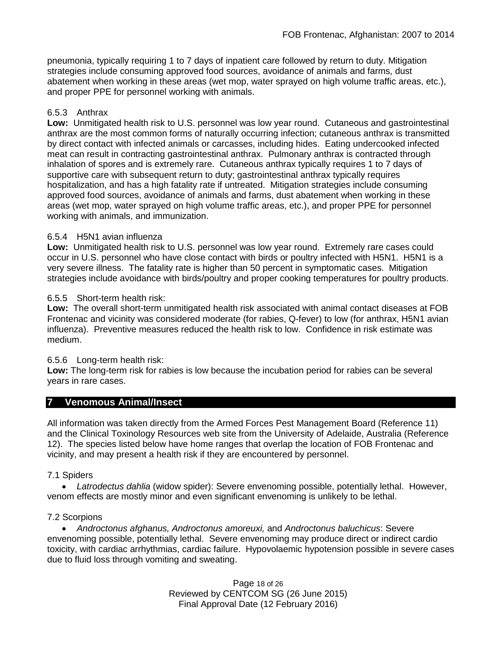pneumonia, typically requiring 1 to 7 days of inpatient care followed by return to duty. Mitigation strategies include consuming approved food sources, avoidance of animals and farms, dust abatement when working in these areas (wet mop, water sprayed on high volume traffic areas, etc.), and proper PPE for personnel working with animals.

## 6.5.3 Anthrax

**Low:** Unmitigated health risk to U.S. personnel was low year round. Cutaneous and gastrointestinal anthrax are the most common forms of naturally occurring infection; cutaneous anthrax is transmitted by direct contact with infected animals or carcasses, including hides. Eating undercooked infected meat can result in contracting gastrointestinal anthrax. Pulmonary anthrax is contracted through inhalation of spores and is extremely rare. Cutaneous anthrax typically requires 1 to 7 days of supportive care with subsequent return to duty; gastrointestinal anthrax typically requires hospitalization, and has a high fatality rate if untreated. Mitigation strategies include consuming approved food sources, avoidance of animals and farms, dust abatement when working in these areas (wet mop, water sprayed on high volume traffic areas, etc.), and proper PPE for personnel working with animals, and immunization.

## 6.5.4 H5N1 avian influenza

**Low:** Unmitigated health risk to U.S. personnel was low year round. Extremely rare cases could occur in U.S. personnel who have close contact with birds or poultry infected with H5N1. H5N1 is a very severe illness. The fatality rate is higher than 50 percent in symptomatic cases. Mitigation strategies include avoidance with birds/poultry and proper cooking temperatures for poultry products.

## 6.5.5 Short-term health risk:

**Low:** The overall short-term unmitigated health risk associated with animal contact diseases at FOB Frontenac and vicinity was considered moderate (for rabies, Q-fever) to low (for anthrax, H5N1 avian influenza). Preventive measures reduced the health risk to low. Confidence in risk estimate was medium.

## 6.5.6 Long-term health risk:

**Low:** The long-term risk for rabies is low because the incubation period for rabies can be several years in rare cases.

## **7 Venomous Animal/Insect**

All information was taken directly from the Armed Forces Pest Management Board (Reference 11) and the Clinical Toxinology Resources web site from the University of Adelaide, Australia (Reference 12). The species listed below have home ranges that overlap the location of FOB Frontenac and vicinity, and may present a health risk if they are encountered by personnel.

## 7.1 Spiders

• *Latrodectus dahlia* (widow spider): Severe envenoming possible, potentially lethal. However, venom effects are mostly minor and even significant envenoming is unlikely to be lethal.

## 7.2 Scorpions

• *Androctonus afghanus, Androctonus amoreuxi,* and *Androctonus baluchicus*: Severe envenoming possible, potentially lethal. Severe envenoming may produce direct or indirect cardio toxicity, with cardiac arrhythmias, cardiac failure. Hypovolaemic hypotension possible in severe cases due to fluid loss through vomiting and sweating.

> Page 18 of 26 Reviewed by CENTCOM SG (26 June 2015) Final Approval Date (12 February 2016)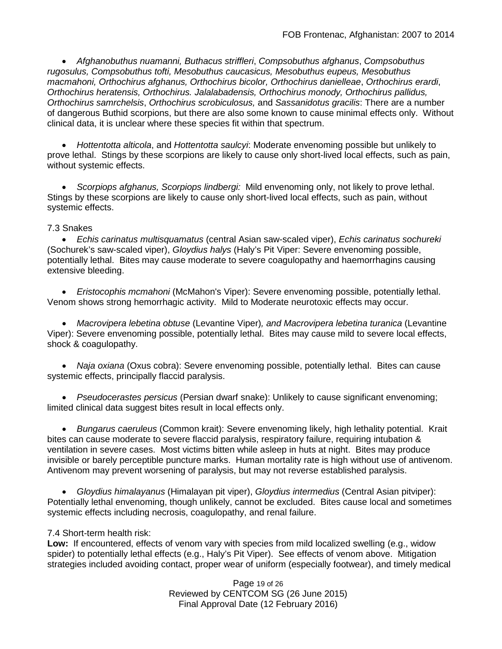• *Afghanobuthus nuamanni, Buthacus striffleri*, *Compsobuthus afghanus*, *Compsobuthus rugosulus, Compsobuthus tofti, Mesobuthus caucasicus, Mesobuthus eupeus, Mesobuthus macmahoni, Orthochirus afghanus, Orthochirus bicolor, Orthochirus danielleae*, *Orthochirus erardi*, *Orthochirus heratensis, Orthochirus. Jalalabadensis, Orthochirus monody, Orthochirus pallidus, Orthochirus samrchelsis*, *Orthochirus scrobiculosus,* and *Sassanidotus gracilis*: There are a number of dangerous Buthid scorpions, but there are also some known to cause minimal effects only. Without clinical data, it is unclear where these species fit within that spectrum.

• *Hottentotta alticola*, and *Hottentotta saulcyi*: Moderate envenoming possible but unlikely to prove lethal. Stings by these scorpions are likely to cause only short-lived local effects, such as pain, without systemic effects.

• *Scorpiops afghanus, Scorpiops lindbergi:* Mild envenoming only, not likely to prove lethal. Stings by these scorpions are likely to cause only short-lived local effects, such as pain, without systemic effects.

## 7.3 Snakes

• *Echis carinatus multisquamatus* (central Asian saw-scaled viper), *Echis carinatus sochureki* (Sochurek's saw-scaled viper), *Gloydius halys* (Haly's Pit Viper: Severe envenoming possible, potentially lethal. Bites may cause moderate to severe coagulopathy and haemorrhagins causing extensive bleeding.

• *Eristocophis mcmahoni* (McMahon's Viper): Severe envenoming possible, potentially lethal. Venom shows strong hemorrhagic activity. Mild to Moderate neurotoxic effects may occur.

• *Macrovipera lebetina obtuse* (Levantine Viper)*, and Macrovipera lebetina turanica* (Levantine Viper): Severe envenoming possible, potentially lethal. Bites may cause mild to severe local effects, shock & coagulopathy.

• *Naja oxiana* (Oxus cobra): Severe envenoming possible, potentially lethal. Bites can cause systemic effects, principally flaccid paralysis.

• *Pseudocerastes persicus* (Persian dwarf snake): Unlikely to cause significant envenoming; limited clinical data suggest bites result in local effects only.

• *Bungarus caeruleus* (Common krait): Severe envenoming likely, high lethality potential. Krait bites can cause moderate to severe flaccid paralysis, respiratory failure, requiring intubation & ventilation in severe cases. Most victims bitten while asleep in huts at night. Bites may produce invisible or barely perceptible puncture marks. Human mortality rate is high without use of antivenom. Antivenom may prevent worsening of paralysis, but may not reverse established paralysis.

• *Gloydius himalayanus* (Himalayan pit viper), *Gloydius intermedius* (Central Asian pitviper): Potentially lethal envenoming, though unlikely, cannot be excluded. Bites cause local and sometimes systemic effects including necrosis, coagulopathy, and renal failure.

## 7.4 Short-term health risk:

**Low:** If encountered, effects of venom vary with species from mild localized swelling (e.g., widow spider) to potentially lethal effects (e.g., Haly's Pit Viper). See effects of venom above. Mitigation strategies included avoiding contact, proper wear of uniform (especially footwear), and timely medical

> Page 19 of 26 Reviewed by CENTCOM SG (26 June 2015) Final Approval Date (12 February 2016)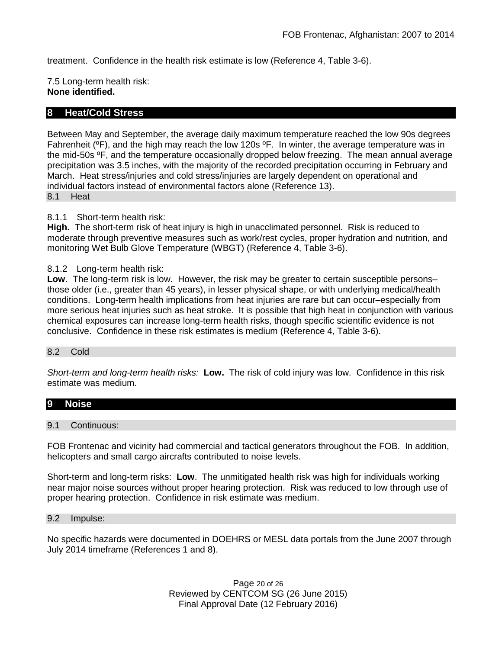treatment. Confidence in the health risk estimate is low (Reference 4, Table 3-6).

7.5 Long-term health risk: **None identified.**

## **8 Heat/Cold Stress**

Between May and September, the average daily maximum temperature reached the low 90s degrees Fahrenheit (ºF), and the high may reach the low 120s ºF. In winter, the average temperature was in the mid-50s ºF, and the temperature occasionally dropped below freezing. The mean annual average precipitation was 3.5 inches, with the majority of the recorded precipitation occurring in February and March. Heat stress/injuries and cold stress/injuries are largely dependent on operational and individual factors instead of environmental factors alone (Reference 13). 8.1 Heat

#### 8.1.1 Short-term health risk:

**High.** The short-term risk of heat injury is high in unacclimated personnel. Risk is reduced to moderate through preventive measures such as work/rest cycles, proper hydration and nutrition, and monitoring Wet Bulb Glove Temperature (WBGT) (Reference 4, Table 3-6).

#### 8.1.2 Long-term health risk:

**Low**. The long-term risk is low. However, the risk may be greater to certain susceptible persons– those older (i.e., greater than 45 years), in lesser physical shape, or with underlying medical/health conditions. Long-term health implications from heat injuries are rare but can occur–especially from more serious heat injuries such as heat stroke.It is possible that high heat in conjunction with various chemical exposures can increase long-term health risks, though specific scientific evidence is not conclusive. Confidence in these risk estimates is medium (Reference 4, Table 3-6).

#### 8.2 Cold

*Short-term and long-term health risks:* **Low.** The risk of cold injury was low. Confidence in this risk estimate was medium.

# **9 Noise**

#### 9.1 Continuous:

FOB Frontenac and vicinity had commercial and tactical generators throughout the FOB. In addition, helicopters and small cargo aircrafts contributed to noise levels.

Short-term and long-term risks: **Low**. The unmitigated health risk was high for individuals working near major noise sources without proper hearing protection. Risk was reduced to low through use of proper hearing protection. Confidence in risk estimate was medium.

#### 9.2 Impulse:

No specific hazards were documented in DOEHRS or MESL data portals from the June 2007 through July 2014 timeframe (References 1 and 8).

> Page 20 of 26 Reviewed by CENTCOM SG (26 June 2015) Final Approval Date (12 February 2016)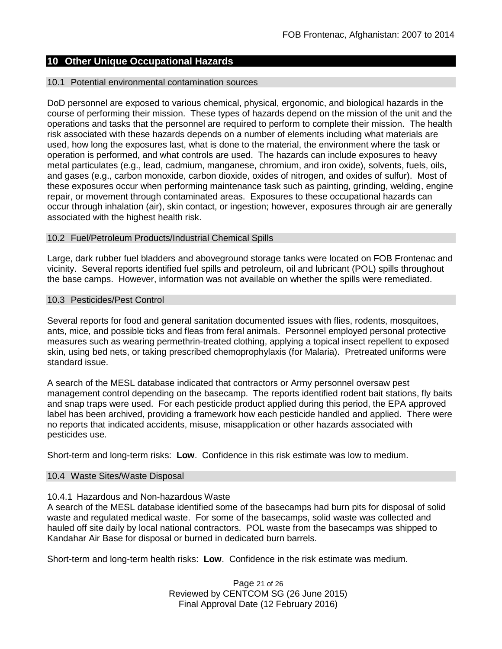## **10 Other Unique Occupational Hazards**

#### 10.1 Potential environmental contamination sources

DoD personnel are exposed to various chemical, physical, ergonomic, and biological hazards in the course of performing their mission. These types of hazards depend on the mission of the unit and the operations and tasks that the personnel are required to perform to complete their mission. The health risk associated with these hazards depends on a number of elements including what materials are used, how long the exposures last, what is done to the material, the environment where the task or operation is performed, and what controls are used. The hazards can include exposures to heavy metal particulates (e.g., lead, cadmium, manganese, chromium, and iron oxide), solvents, fuels, oils, and gases (e.g., carbon monoxide, carbon dioxide, oxides of nitrogen, and oxides of sulfur). Most of these exposures occur when performing maintenance task such as painting, grinding, welding, engine repair, or movement through contaminated areas. Exposures to these occupational hazards can occur through inhalation (air), skin contact, or ingestion; however, exposures through air are generally associated with the highest health risk.

#### 10.2 Fuel/Petroleum Products/Industrial Chemical Spills

Large, dark rubber fuel bladders and aboveground storage tanks were located on FOB Frontenac and vicinity. Several reports identified fuel spills and petroleum, oil and lubricant (POL) spills throughout the base camps. However, information was not available on whether the spills were remediated.

#### 10.3 Pesticides/Pest Control

Several reports for food and general sanitation documented issues with flies, rodents, mosquitoes, ants, mice, and possible ticks and fleas from feral animals. Personnel employed personal protective measures such as wearing permethrin-treated clothing, applying a topical insect repellent to exposed skin, using bed nets, or taking prescribed chemoprophylaxis (for Malaria). Pretreated uniforms were standard issue.

A search of the MESL database indicated that contractors or Army personnel oversaw pest management control depending on the basecamp. The reports identified rodent bait stations, fly baits and snap traps were used. For each pesticide product applied during this period, the EPA approved label has been archived, providing a framework how each pesticide handled and applied. There were no reports that indicated accidents, misuse, misapplication or other hazards associated with pesticides use.

Short-term and long-term risks: **Low**. Confidence in this risk estimate was low to medium.

#### 10.4 Waste Sites/Waste Disposal

## 10.4.1 Hazardous and Non-hazardous Waste

A search of the MESL database identified some of the basecamps had burn pits for disposal of solid waste and regulated medical waste. For some of the basecamps, solid waste was collected and hauled off site daily by local national contractors. POL waste from the basecamps was shipped to Kandahar Air Base for disposal or burned in dedicated burn barrels.

Short-term and long-term health risks: **Low**. Confidence in the risk estimate was medium.

Page 21 of 26 Reviewed by CENTCOM SG (26 June 2015) Final Approval Date (12 February 2016)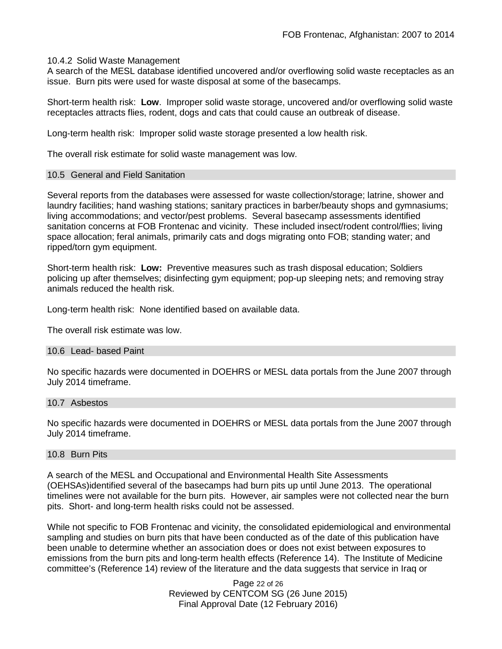#### 10.4.2 Solid Waste Management

A search of the MESL database identified uncovered and/or overflowing solid waste receptacles as an issue. Burn pits were used for waste disposal at some of the basecamps.

Short-term health risk: **Low**. Improper solid waste storage, uncovered and/or overflowing solid waste receptacles attracts flies, rodent, dogs and cats that could cause an outbreak of disease.

Long-term health risk: Improper solid waste storage presented a low health risk.

The overall risk estimate for solid waste management was low.

#### 10.5 General and Field Sanitation

Several reports from the databases were assessed for waste collection/storage; latrine, shower and laundry facilities; hand washing stations; sanitary practices in barber/beauty shops and gymnasiums; living accommodations; and vector/pest problems. Several basecamp assessments identified sanitation concerns at FOB Frontenac and vicinity. These included insect/rodent control/flies; living space allocation; feral animals, primarily cats and dogs migrating onto FOB; standing water; and ripped/torn gym equipment.

Short-term health risk: **Low:** Preventive measures such as trash disposal education; Soldiers policing up after themselves; disinfecting gym equipment; pop-up sleeping nets; and removing stray animals reduced the health risk.

Long-term health risk: None identified based on available data.

The overall risk estimate was low.

#### 10.6 Lead- based Paint

No specific hazards were documented in DOEHRS or MESL data portals from the June 2007 through July 2014 timeframe.

#### 10.7 Asbestos

No specific hazards were documented in DOEHRS or MESL data portals from the June 2007 through July 2014 timeframe.

## 10.8 Burn Pits

A search of the MESL and Occupational and Environmental Health Site Assessments (OEHSAs)identified several of the basecamps had burn pits up until June 2013. The operational timelines were not available for the burn pits. However, air samples were not collected near the burn pits. Short- and long-term health risks could not be assessed.

While not specific to FOB Frontenac and vicinity, the consolidated epidemiological and environmental sampling and studies on burn pits that have been conducted as of the date of this publication have been unable to determine whether an association does or does not exist between exposures to emissions from the burn pits and long-term health effects (Reference 14). The Institute of Medicine committee's (Reference 14) review of the literature and the data suggests that service in Iraq or

> Page 22 of 26 Reviewed by CENTCOM SG (26 June 2015) Final Approval Date (12 February 2016)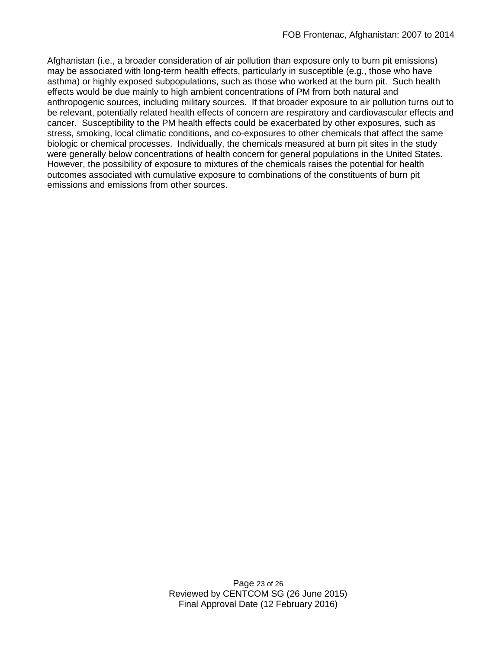Afghanistan (i.e., a broader consideration of air pollution than exposure only to burn pit emissions) may be associated with long-term health effects, particularly in susceptible (e.g., those who have asthma) or highly exposed subpopulations, such as those who worked at the burn pit. Such health effects would be due mainly to high ambient concentrations of PM from both natural and anthropogenic sources, including military sources. If that broader exposure to air pollution turns out to be relevant, potentially related health effects of concern are respiratory and cardiovascular effects and cancer. Susceptibility to the PM health effects could be exacerbated by other exposures, such as stress, smoking, local climatic conditions, and co-exposures to other chemicals that affect the same biologic or chemical processes. Individually, the chemicals measured at burn pit sites in the study were generally below concentrations of health concern for general populations in the United States. However, the possibility of exposure to mixtures of the chemicals raises the potential for health outcomes associated with cumulative exposure to combinations of the constituents of burn pit emissions and emissions from other sources.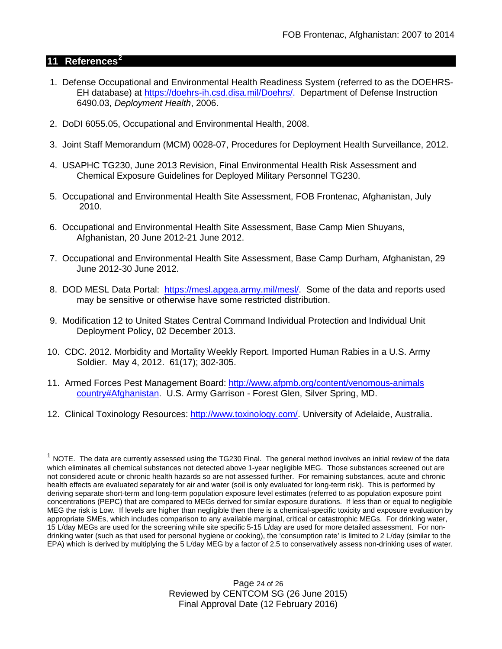## **11 References[2](#page-23-0)**

 $\overline{a}$ 

- 1. Defense Occupational and Environmental Health Readiness System (referred to as the DOEHRS-EH database) at [https://doehrs-ih.csd.disa.mil/Doehrs/.](https://doehrs-ih.csd.disa.mil/Doehrs/) Department of Defense Instruction 6490.03, *Deployment Health*, 2006.
- 2. DoDI 6055.05, Occupational and Environmental Health, 2008.
- 3. Joint Staff Memorandum (MCM) 0028-07, Procedures for Deployment Health Surveillance, 2012.
- 4. USAPHC TG230, June 2013 Revision, Final Environmental Health Risk Assessment and Chemical Exposure Guidelines for Deployed Military Personnel TG230.
- 5. Occupational and Environmental Health Site Assessment, FOB Frontenac, Afghanistan, July 2010.
- 6. Occupational and Environmental Health Site Assessment, Base Camp Mien Shuyans, Afghanistan, 20 June 2012-21 June 2012.
- 7. Occupational and Environmental Health Site Assessment, Base Camp Durham, Afghanistan, 29 June 2012-30 June 2012.
- 8. DOD MESL Data Portal: [https://mesl.apgea.army.mil/mesl/.](https://mesl.apgea.army.mil/mesl/) Some of the data and reports used may be sensitive or otherwise have some restricted distribution.
- 9. Modification 12 to United States Central Command Individual Protection and Individual Unit Deployment Policy, 02 December 2013.
- 10. CDC. 2012. Morbidity and Mortality Weekly Report. Imported Human Rabies in a U.S. Army Soldier. May 4, 2012. 61(17); 302-305.
- 11. Armed Forces Pest Management Board: [http://www.afpmb.org/content/venomous-animals](http://www.afpmb.org/content/venomous-animals%20%20%20%20country#Afghanistan)  [country#Afghanistan.](http://www.afpmb.org/content/venomous-animals%20%20%20%20country#Afghanistan) U.S. Army Garrison - Forest Glen, Silver Spring, MD.
- 12. Clinical Toxinology Resources: [http://www.toxinology.com/.](http://www.toxinology.com/) University of Adelaide, Australia.

<span id="page-23-0"></span> $1$  NOTE. The data are currently assessed using the TG230 Final. The general method involves an initial review of the data which eliminates all chemical substances not detected above 1-year negligible MEG. Those substances screened out are not considered acute or chronic health hazards so are not assessed further. For remaining substances, acute and chronic health effects are evaluated separately for air and water (soil is only evaluated for long-term risk). This is performed by deriving separate short-term and long-term population exposure level estimates (referred to as population exposure point concentrations (PEPC) that are compared to MEGs derived for similar exposure durations. If less than or equal to negligible MEG the risk is Low. If levels are higher than negligible then there is a chemical-specific toxicity and exposure evaluation by appropriate SMEs, which includes comparison to any available marginal, critical or catastrophic MEGs. For drinking water, 15 L/day MEGs are used for the screening while site specific 5-15 L/day are used for more detailed assessment. For nondrinking water (such as that used for personal hygiene or cooking), the 'consumption rate' is limited to 2 L/day (similar to the EPA) which is derived by multiplying the 5 L/day MEG by a factor of 2.5 to conservatively assess non-drinking uses of water.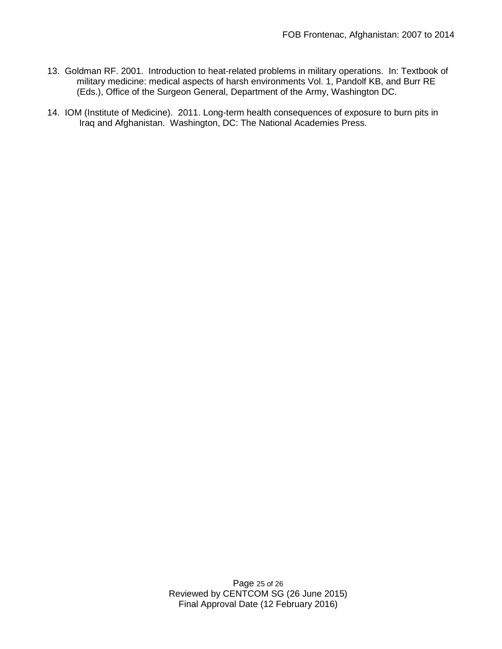- 13. Goldman RF. 2001. Introduction to heat-related problems in military operations. In: Textbook of military medicine: medical aspects of harsh environments Vol. 1, Pandolf KB, and Burr RE (Eds.), Office of the Surgeon General, Department of the Army, Washington DC.
- 14. IOM (Institute of Medicine). 2011. Long-term health consequences of exposure to burn pits in Iraq and Afghanistan. Washington, DC: The National Academies Press.

Page 25 of 26 Reviewed by CENTCOM SG (26 June 2015) Final Approval Date (12 February 2016)